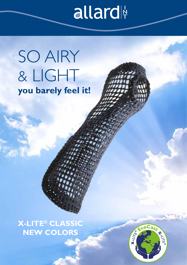# allard

## SO AIRY & LIGHT **you barely feel it!**

**X-LITE® CLASSIC NEW COLORS**

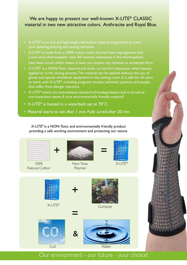### We are happy to present our well-known X-LITE<sup>®</sup> CLASSIC material in two new attractive colors. Anthracite and Royal Blue.

- $\mathsf{X}\text{-LITE}^{\otimes}$  is an airy and lightweight fabrication material engineered to meet your splinting, bracing and casting demands.
- $\overline{X}$ -LITE<sup>®</sup> is made from a 100% cotton mesh that has been impregnated with a non-toxic thermoplastic resin. All reactive substances in the thermoplastic

have been cured, which means it does not contain any residues in unreacted form.

- $\mathsf{X}\text{-LITE}^{\otimes}$  is a NON-Toxic material and emits no harmful substances when heated, applied or in the drying process. The material can be applied without the use of gloves and special ventilation equipment in the casting room. It is safe for all users to work with X-LITE®, including pregnant woman, asthmatic patients and people that suffer from allergic reactions.
- $\mathsf{X}\text{-LITE}^{\odot}$  meets the international standard of biodegradation and is sorted as non-hazardous waste. A true environmentally friendly material!
- X-LITE<sup>®</sup> is heated in a waterbath set at 70°C.
- Material starts to set after 1 min. Fully cured after 20 min.

X-LITE® is a NON-Toxic and environmentally friendly product providing a safe working environment and protecting our nature.



Our environment - our future - your choice!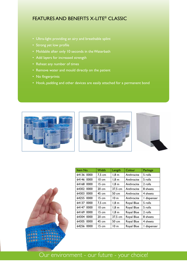### FEATURES AND BENEFITS X-LITE® CLASSIC

- Ultra-light providing an airy and breathable splint
- Strong yet low profile
- Moldable after only 10 seconds in the Waterbath
- Add layers for increased strength
- Reheat any number of times
- Remove water and mould directly on the patient
- No fingerprints
- Hook, padding and other devices are easily attached for a permanent bond









| Item No.   | Width            | Length              | Colour     | Package     |
|------------|------------------|---------------------|------------|-------------|
| 64136 0000 | 7,5 cm           | $1,8 \; \mathrm{m}$ | Anthracite | 5 rolls     |
| 64146 0000 | $10 \text{ cm}$  | $1,8 \; \mathrm{m}$ | Anthracite | 5 rolls     |
| 64168 0000 | 15 cm            | $1,8 \; \mathrm{m}$ | Anthracite | 2 rolls     |
| 64302 0000 | $20 \text{ cm}$  | 37,5 cm             | Anthracite | 8 sheets    |
| 64303 0000 | 45 cm            | 50 cm               | Anthracite | 4 sheets    |
| 64255 0000 | $15 \text{ cm}$  | 10 <sub>m</sub>     | Anthracite | I dispenser |
| 64137 0000 | $7.5 \text{ cm}$ | 1.8 <sub>m</sub>    | Royal Blue | 5 rolls     |
| 64147 0000 | $10 \text{ cm}$  | $1,8 \text{ m}$     | Royal Blue | 5 rolls     |
| 64169 0000 | 15 cm            | $1,8 \; \mathrm{m}$ | Royal Blue | 2 rolls     |
| 64304 0000 | $20 \text{ cm}$  | 37,5 cm             | Royal Blue | 8 sheets    |
| 64305 0000 | 45 cm            | 50 cm               | Royal Blue | 4 sheets    |
| 64256 0000 | 15 cm            | 10 <sub>m</sub>     | Royal Blue | I dispenser |